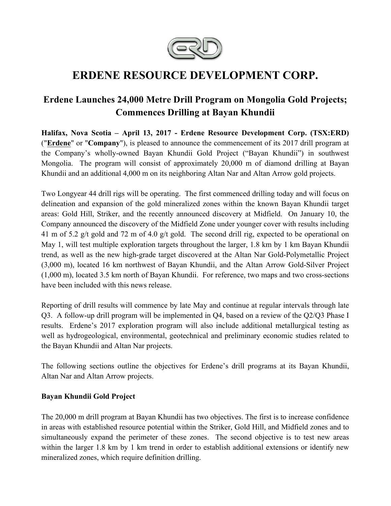

# **ERDENE RESOURCE DEVELOPMENT CORP.**

## **Erdene Launches 24,000 Metre Drill Program on Mongolia Gold Projects; Commences Drilling at Bayan Khundii**

**Halifax, Nova Scotia – April 13, 2017 - Erdene Resource Development Corp. (TSX:ERD)**  ("**Erdene**" or "**Company**"), is pleased to announce the commencement of its 2017 drill program at the Company's wholly-owned Bayan Khundii Gold Project ("Bayan Khundii") in southwest Mongolia. The program will consist of approximately 20,000 m of diamond drilling at Bayan Khundii and an additional 4,000 m on its neighboring Altan Nar and Altan Arrow gold projects.

Two Longyear 44 drill rigs will be operating. The first commenced drilling today and will focus on delineation and expansion of the gold mineralized zones within the known Bayan Khundii target areas: Gold Hill, Striker, and the recently announced discovery at Midfield. On January 10, the Company announced the discovery of the Midfield Zone under younger cover with results including 41 m of 5.2 g/t gold and 72 m of 4.0 g/t gold. The second drill rig, expected to be operational on May 1, will test multiple exploration targets throughout the larger, 1.8 km by 1 km Bayan Khundii trend, as well as the new high-grade target discovered at the Altan Nar Gold-Polymetallic Project (3,000 m), located 16 km northwest of Bayan Khundii, and the Altan Arrow Gold-Silver Project (1,000 m), located 3.5 km north of Bayan Khundii. For reference, two maps and two cross-sections have been included with this news release.

Reporting of drill results will commence by late May and continue at regular intervals through late Q3. A follow-up drill program will be implemented in Q4, based on a review of the Q2/Q3 Phase I results. Erdene's 2017 exploration program will also include additional metallurgical testing as well as hydrogeological, environmental, geotechnical and preliminary economic studies related to the Bayan Khundii and Altan Nar projects.

The following sections outline the objectives for Erdene's drill programs at its Bayan Khundii, Altan Nar and Altan Arrow projects.

#### **Bayan Khundii Gold Project**

The 20,000 m drill program at Bayan Khundii has two objectives. The first is to increase confidence in areas with established resource potential within the Striker, Gold Hill, and Midfield zones and to simultaneously expand the perimeter of these zones. The second objective is to test new areas within the larger 1.8 km by 1 km trend in order to establish additional extensions or identify new mineralized zones, which require definition drilling.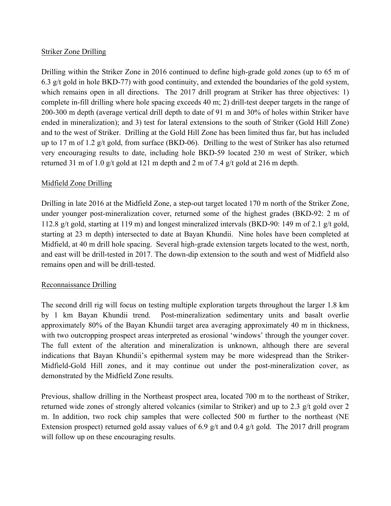### Striker Zone Drilling

Drilling within the Striker Zone in 2016 continued to define high-grade gold zones (up to 65 m of 6.3 g/t gold in hole BKD-77) with good continuity, and extended the boundaries of the gold system, which remains open in all directions. The 2017 drill program at Striker has three objectives: 1) complete in-fill drilling where hole spacing exceeds 40 m; 2) drill-test deeper targets in the range of 200-300 m depth (average vertical drill depth to date of 91 m and 30% of holes within Striker have ended in mineralization); and 3) test for lateral extensions to the south of Striker (Gold Hill Zone) and to the west of Striker. Drilling at the Gold Hill Zone has been limited thus far, but has included up to 17 m of 1.2 g/t gold, from surface (BKD-06). Drilling to the west of Striker has also returned very encouraging results to date, including hole BKD-59 located 230 m west of Striker, which returned 31 m of 1.0 g/t gold at 121 m depth and 2 m of 7.4 g/t gold at 216 m depth.

#### Midfield Zone Drilling

Drilling in late 2016 at the Midfield Zone, a step-out target located 170 m north of the Striker Zone, under younger post-mineralization cover, returned some of the highest grades (BKD-92: 2 m of 112.8 g/t gold, starting at 119 m) and longest mineralized intervals (BKD-90: 149 m of 2.1 g/t gold, starting at 23 m depth) intersected to date at Bayan Khundii. Nine holes have been completed at Midfield, at 40 m drill hole spacing. Several high-grade extension targets located to the west, north, and east will be drill-tested in 2017. The down-dip extension to the south and west of Midfield also remains open and will be drill-tested.

#### Reconnaissance Drilling

The second drill rig will focus on testing multiple exploration targets throughout the larger 1.8 km by 1 km Bayan Khundii trend. Post-mineralization sedimentary units and basalt overlie approximately 80% of the Bayan Khundii target area averaging approximately 40 m in thickness, with two outcropping prospect areas interpreted as erosional 'windows' through the younger cover. The full extent of the alteration and mineralization is unknown, although there are several indications that Bayan Khundii's epithermal system may be more widespread than the Striker-Midfield-Gold Hill zones, and it may continue out under the post-mineralization cover, as demonstrated by the Midfield Zone results.

Previous, shallow drilling in the Northeast prospect area, located 700 m to the northeast of Striker, returned wide zones of strongly altered volcanics (similar to Striker) and up to 2.3 g/t gold over 2 m. In addition, two rock chip samples that were collected 500 m further to the northeast (NE Extension prospect) returned gold assay values of 6.9 g/t and 0.4 g/t gold. The 2017 drill program will follow up on these encouraging results.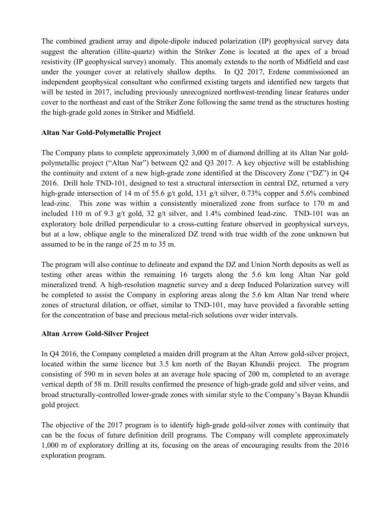The combined gradient array and dipole-dipole induced polarization (IP) geophysical survey data suggest the alteration (illite-quartz) within the Striker Zone is located at the apex of a broad resistivity (IP geophysical survey) anomaly. This anomaly extends to the north of Midfield and east under the younger cover at relatively shallow depths. In Q2 2017, Erdene commissioned an independent geophysical consultant who confirmed existing targets and identified new targets that will be tested in 2017, including previously unrecognized northwest-trending linear features under cover to the northeast and east of the Striker Zone following the same trend as the structures hosting the high-grade gold zones in Striker and Midfield.

### **Altan Nar Gold-Polymetallic Project**

The Company plans to complete approximately 3,000 m of diamond drilling at its Altan Nar goldpolymetallic project ("Altan Nar") between Q2 and Q3 2017. A key objective will be establishing the continuity and extent of a new high-grade zone identified at the Discovery Zone ("DZ") in Q4 2016. Drill hole TND-101, designed to test a structural intersection in central DZ, returned a very high-grade intersection of 14 m of 55.6 g/t gold, 131 g/t silver, 0.73% copper and 5.6% combined lead-zinc. This zone was within a consistently mineralized zone from surface to 170 m and included 110 m of 9.3 g/t gold, 32 g/t silver, and 1.4% combined lead-zinc. TND-101 was an exploratory hole drilled perpendicular to a cross-cutting feature observed in geophysical surveys, but at a low, oblique angle to the mineralized DZ trend with true width of the zone unknown but assumed to be in the range of 25 m to 35 m.

The program will also continue to delineate and expand the DZ and Union North deposits as well as testing other areas within the remaining 16 targets along the 5.6 km long Altan Nar gold mineralized trend. A high-resolution magnetic survey and a deep Induced Polarization survey will be completed to assist the Company in exploring areas along the 5.6 km Altan Nar trend where zones of structural dilation, or offset, similar to TND-101, may have provided a favorable setting for the concentration of base and precious metal-rich solutions over wider intervals.

#### **Altan Arrow Gold-Silver Project**

In Q4 2016, the Company completed a maiden drill program at the Altan Arrow gold-silver project, located within the same licence but 3.5 km north of the Bayan Khundii project. The program consisting of 590 m in seven holes at an average hole spacing of 200 m, completed to an average vertical depth of 58 m. Drill results confirmed the presence of high-grade gold and silver veins, and broad structurally-controlled lower-grade zones with similar style to the Company's Bayan Khundii gold project.

The objective of the 2017 program is to identify high-grade gold-silver zones with continuity that can be the focus of future definition drill programs. The Company will complete approximately 1,000 m of exploratory drilling at its, focusing on the areas of encouraging results from the 2016 exploration program.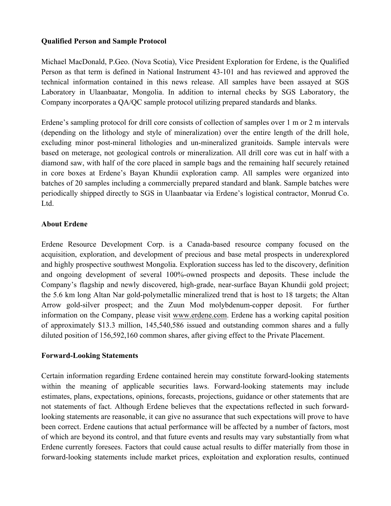#### **Qualified Person and Sample Protocol**

Michael MacDonald, P.Geo. (Nova Scotia), Vice President Exploration for Erdene, is the Qualified Person as that term is defined in National Instrument 43-101 and has reviewed and approved the technical information contained in this news release. All samples have been assayed at SGS Laboratory in Ulaanbaatar, Mongolia. In addition to internal checks by SGS Laboratory, the Company incorporates a QA/QC sample protocol utilizing prepared standards and blanks.

Erdene's sampling protocol for drill core consists of collection of samples over 1 m or 2 m intervals (depending on the lithology and style of mineralization) over the entire length of the drill hole, excluding minor post-mineral lithologies and un-mineralized granitoids. Sample intervals were based on meterage, not geological controls or mineralization. All drill core was cut in half with a diamond saw, with half of the core placed in sample bags and the remaining half securely retained in core boxes at Erdene's Bayan Khundii exploration camp. All samples were organized into batches of 20 samples including a commercially prepared standard and blank. Sample batches were periodically shipped directly to SGS in Ulaanbaatar via Erdene's logistical contractor, Monrud Co. Ltd.

### **About Erdene**

Erdene Resource Development Corp. is a Canada-based resource company focused on the acquisition, exploration, and development of precious and base metal prospects in underexplored and highly prospective southwest Mongolia. Exploration success has led to the discovery, definition and ongoing development of several 100%-owned prospects and deposits. These include the Company's flagship and newly discovered, high-grade, near-surface Bayan Khundii gold project; the 5.6 km long Altan Nar gold-polymetallic mineralized trend that is host to 18 targets; the Altan Arrow gold-silver prospect; and the Zuun Mod molybdenum-copper deposit. For further information on the Company, please visit www.erdene.com. Erdene has a working capital position of approximately \$13.3 million, 145,540,586 issued and outstanding common shares and a fully diluted position of 156,592,160 common shares, after giving effect to the Private Placement.

#### **Forward-Looking Statements**

Certain information regarding Erdene contained herein may constitute forward-looking statements within the meaning of applicable securities laws. Forward-looking statements may include estimates, plans, expectations, opinions, forecasts, projections, guidance or other statements that are not statements of fact. Although Erdene believes that the expectations reflected in such forwardlooking statements are reasonable, it can give no assurance that such expectations will prove to have been correct. Erdene cautions that actual performance will be affected by a number of factors, most of which are beyond its control, and that future events and results may vary substantially from what Erdene currently foresees. Factors that could cause actual results to differ materially from those in forward-looking statements include market prices, exploitation and exploration results, continued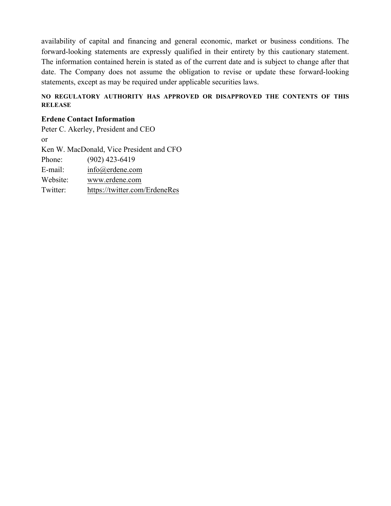availability of capital and financing and general economic, market or business conditions. The forward-looking statements are expressly qualified in their entirety by this cautionary statement. The information contained herein is stated as of the current date and is subject to change after that date. The Company does not assume the obligation to revise or update these forward-looking statements, except as may be required under applicable securities laws.

#### **NO REGULATORY AUTHORITY HAS APPROVED OR DISAPPROVED THE CONTENTS OF THIS RELEASE**

#### **Erdene Contact Information**

Peter C. Akerley, President and CEO or Ken W. MacDonald, Vice President and CFO Phone: (902) 423-6419 E-mail: info@erdene.com Website: www.erdene.com Twitter: https://twitter.com/ErdeneRes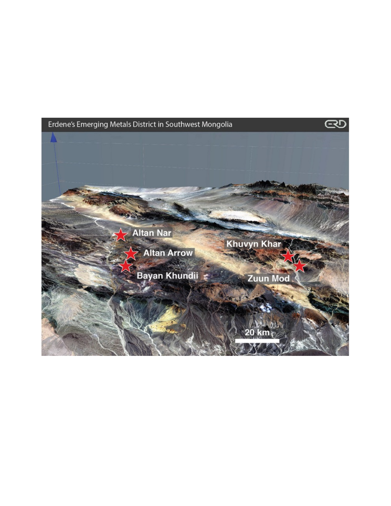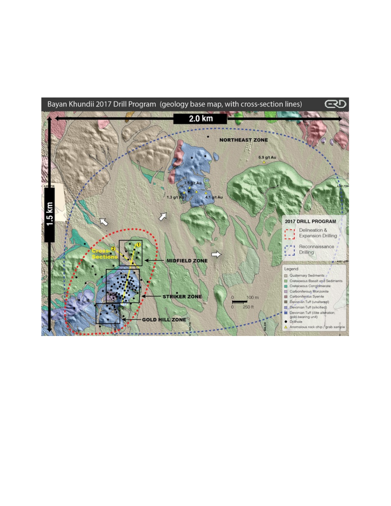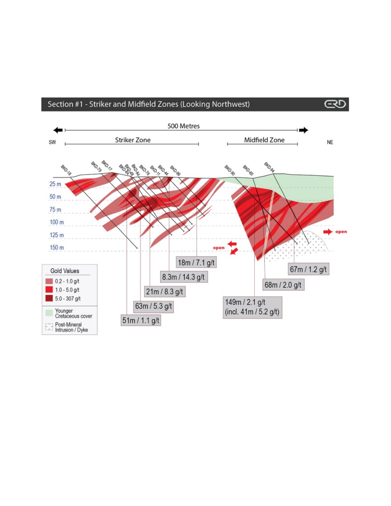

 $\overline{CD}$ 

## Section #1 - Striker and Midfield Zones (Looking Northwest)